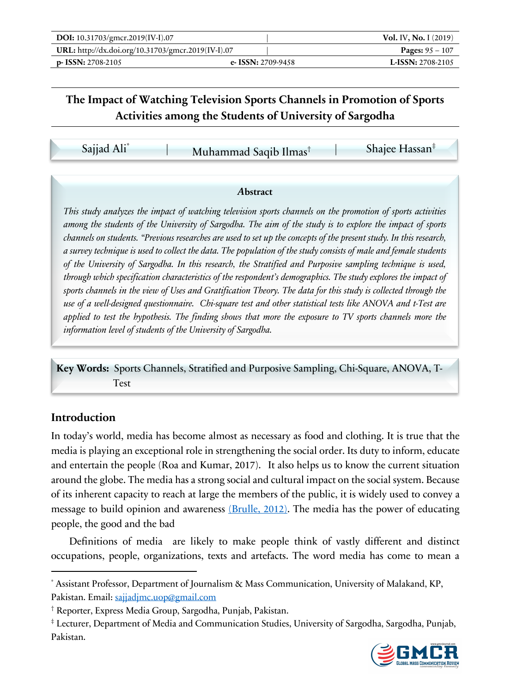| DOI: 10.31703/gmcr.2019(IV-I).07                   |                      | <b>Vol. IV, No. I</b> (2019) |
|----------------------------------------------------|----------------------|------------------------------|
| URL: http://dx.doi.org/10.31703/gmcr.2019(IV-I).07 |                      | <b>Pages:</b> $95 - 107$     |
| $p-$ ISSN: 2708-2105                               | e- ISSN: $2709-9458$ | <b>L-ISSN:</b> $2708-2105$   |

Sajjad Ali\* | Muhammad Saqib Ilmas<sup>†</sup> | Shajee Hassan<sup>‡</sup>

#### *A***bstract**

*This study analyzes the impact of watching television sports channels on the promotion of sports activities among the students of the University of Sargodha. The aim of the study is to explore the impact of sports channels on students. "Previous researches are used to set up the concepts of the present study. In this research, a survey technique is used to collect the data. The population of the study consists of male and female students of the University of Sargodha. In this research, the Stratified and Purposive sampling technique is used, through which specification characteristics of the respondent's demographics. The study explores the impact of sports channels in the view of Uses and Gratification Theory. The data for this study is collected through the use of a well-designed questionnaire. Chi-square test and other statistical tests like ANOVA and t-Test are applied to test the hypothesis. The finding shows that more the exposure to TV sports channels more the information level of students of the University of Sargodha.*

**Key Words:** Sports Channels, Stratified and Purposive Sampling, Chi-Square, ANOVA, T- Test

## **Introduction**

In today's world, media has become almost as necessary as food and clothing. It is true that the media is playing an exceptional role in strengthening the social order. Its duty to inform, educate and entertain the people (Roa and Kumar, 2017). It also helps us to know the current situation around the globe. The media has a strong social and cultural impact on the social system. Because of its inherent capacity to reach at large the members of the public, it is widely used to convey a message to build opinion and awareness (Brulle, 2012). The media has the power of educating people, the good and the bad"

Definitions of media are likely to make people think of vastly different and distinct occupations, people, organizations, texts and artefacts. The word media has come to mean a

<sup>‡</sup> Lecturer, Department of Media and Communication Studies, University of Sargodha, Sargodha, Punjab, Pakistan.



Assistant Professor, Department of Journalism & Mass Communication, University of Malakand, KP, Pakistan. Email: sajjadjmc.uop@gmail.com

<sup>†</sup> Reporter, Express Media Group, Sargodha, Punjab, Pakistan.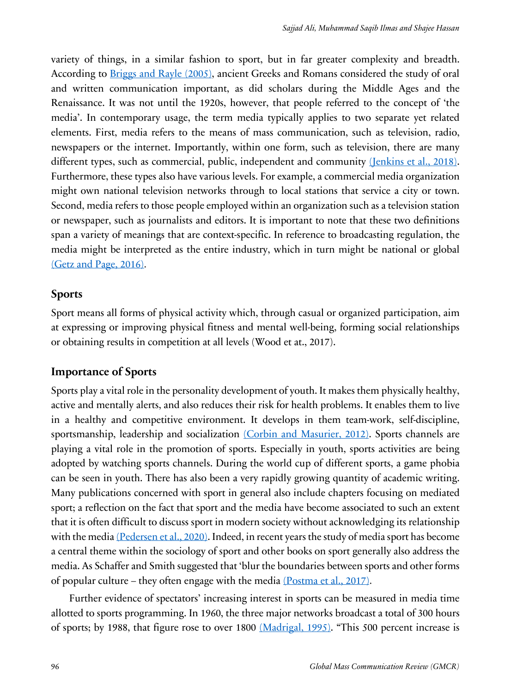variety of things, in a similar fashion to sport, but in far greater complexity and breadth. According to Briggs and Rayle (2005), ancient Greeks and Romans considered the study of oral and written communication important, as did scholars during the Middle Ages and the Renaissance. It was not until the 1920s, however, that people referred to the concept of 'the media'. In contemporary usage, the term media typically applies to two separate yet related elements. First, media refers to the means of mass communication, such as television, radio, newspapers or the internet. Importantly, within one form, such as television, there are many different types, such as commercial, public, independent and community (Jenkins et al., 2018). Furthermore, these types also have various levels. For example, a commercial media organization might own national television networks through to local stations that service a city or town. Second, media refers to those people employed within an organization such as a television station or newspaper, such as journalists and editors. It is important to note that these two definitions span a variety of meanings that are context-specific. In reference to broadcasting regulation, the media might be interpreted as the entire industry, which in turn might be national or global (Getz and Page, 2016).

### **Sports**

Sport means all forms of physical activity which, through casual or organized participation, aim at expressing or improving physical fitness and mental well-being, forming social relationships or obtaining results in competition at all levels (Wood et at., 2017).

## **Importance of Sports**

Sports play a vital role in the personality development of youth. It makes them physically healthy, active and mentally alerts, and also reduces their risk for health problems. It enables them to live in a healthy and competitive environment. It develops in them team-work, self-discipline, sportsmanship, leadership and socialization (Corbin and Masurier, 2012). Sports channels are playing a vital role in the promotion of sports. Especially in youth, sports activities are being adopted by watching sports channels. During the world cup of different sports, a game phobia can be seen in youth. There has also been a very rapidly growing quantity of academic writing. Many publications concerned with sport in general also include chapters focusing on mediated sport; a reflection on the fact that sport and the media have become associated to such an extent that it is often difficult to discuss sport in modern society without acknowledging its relationship with the media (Pedersen et al., 2020). Indeed, in recent years the study of media sport has become a central theme within the sociology of sport and other books on sport generally also address the media. As Schaffer and Smith suggested that 'blur the boundaries between sports and other forms of popular culture – they often engage with the media (Postma et al., 2017).

Further evidence of spectators' increasing interest in sports can be measured in media time allotted to sports programming. In 1960, the three major networks broadcast a total of 300 hours of sports; by 1988, that figure rose to over 1800 (Madrigal, 1995). "This 500 percent increase is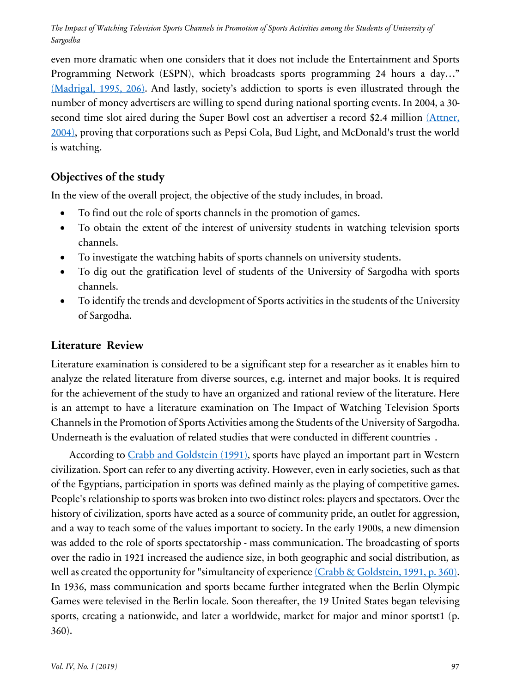even more dramatic when one considers that it does not include the Entertainment and Sports Programming Network (ESPN), which broadcasts sports programming 24 hours a day..." (Madrigal, 1995, 206). And lastly, society's addiction to sports is even illustrated through the number of money advertisers are willing to spend during national sporting events. In 2004, a 30 second time slot aired during the Super Bowl cost an advertiser a record \$2.4 million (Attner, 2004), proving that corporations such as Pepsi Cola, Bud Light, and McDonald's trust the world is watching.

## **Objectives of the study**

In the view of the overall project, the objective of the study includes, in broad.

- To find out the role of sports channels in the promotion of games.
- To obtain the extent of the interest of university students in watching television sports channels.
- To investigate the watching habits of sports channels on university students.
- To dig out the gratification level of students of the University of Sargodha with sports channels.
- To identify the trends and development of Sports activities in the students of the University of Sargodha.

## **Literature7Review**

Literature examination is considered to be a significant step for a researcher as it enables him to analyze the related literature from diverse sources, e.g. internet and major books. It is required for the achievement of the study to have an organized and rational review of the literature. Here is an attempt to have a literature examination on The Impact of Watching Television Sports Channels in the Promotion of Sports Activities among the Students of the University of Sargodha. Underneath is the evaluation of related studies that were conducted in different countries.

According to Crabb and Goldstein (1991), sports have played an important part in Western civilization. Sport can refer to any diverting activity. However, even in early societies, such as that of the Egyptians, participation in sports was defined mainly as the playing of competitive games. People's relationship to sports was broken into two distinct roles: players and spectators. Over the history of civilization, sports have acted as a source of community pride, an outlet for aggression, and a way to teach some of the values important to society. In the early 1900s, a new dimension was added to the role of sports spectatorship - mass communication. The broadcasting of sports over the radio in 1921 increased the audience size, in both geographic and social distribution, as well as created the opportunity for "simultaneity of experience (Crabb & Goldstein, 1991, p. 360). In 1936, mass communication and sports became further integrated when the Berlin Olympic Games were televised in the Berlin locale. Soon thereafter, the 19 United States began televising sports, creating a nationwide, and later a worldwide, market for major and minor sportst1 (p. 360).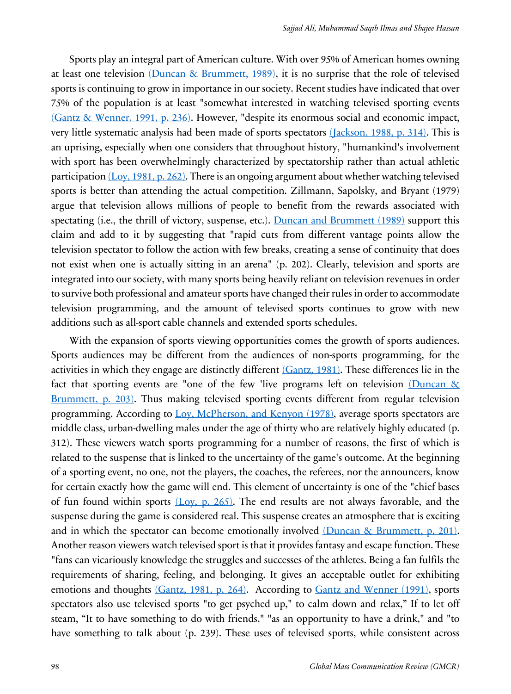Sports play an integral part of American culture. With over 95% of American homes owning at least one television (Duncan & Brummett, 1989), it is no surprise that the role of televised sports is continuing to grow in importance in our society. Recent studies have indicated that over 75% of the population is at least "somewhat interested in watching televised sporting events (Gantz & Wenner, 1991, p. 236). However, "despite its enormous social and economic impact, very little systematic analysis had been made of sports spectators (Jackson, 1988, p. 314). This is an uprising, especially when one considers that throughout history, "humankind's involvement with sport has been overwhelmingly characterized by spectatorship rather than actual athletic participation (Loy, 1981, p. 262). There is an ongoing argument about whether watching televised sports is better than attending the actual competition. Zillmann, Sapolsky, and Bryant (1979) argue that television allows millions of people to benefit from the rewards associated with spectating (i.e., the thrill of victory, suspense, etc.). Duncan and Brummett (1989) support this claim and add to it by suggesting that "rapid cuts from different vantage points allow the television spectator to follow the action with few breaks, creating a sense of continuity that does not exist when one is actually sitting in an arena" (p. 202). Clearly, television and sports are integrated into our society, with many sports being heavily reliant on television revenues in order to survive both professional and amateur sports have changed their rules in order to accommodate television programming, and the amount of televised sports continues to grow with new additions such as all-sport cable channels and extended sports schedules.

With the expansion of sports viewing opportunities comes the growth of sports audiences. Sports audiences may be different from the audiences of non-sports programming, for the activities in which they engage are distinctly different (Gantz, 1981). These differences lie in the fact that sporting events are "one of the few 'live programs left on television (Duncan & Brummett, p. 203). Thus making televised sporting events different from regular television programming. According to Loy, McPherson, and Kenyon (1978), average sports spectators are middle class, urban-dwelling males under the age of thirty who are relatively highly educated (p. 312). These viewers watch sports programming for a number of reasons, the first of which is related to the suspense that is linked to the uncertainty of the game's outcome. At the beginning of a sporting event, no one, not the players, the coaches, the referees, nor the announcers, know for certain exactly how the game will end. This element of uncertainty is one of the "chief bases of fun found within sports  $(Loy, p. 265)$ . The end results are not always favorable, and the suspense during the game is considered real. This suspense creates an atmosphere that is exciting and in which the spectator can become emotionally involved (Duncan & Brummett, p. 201). Another reason viewers watch televised sport is that it provides fantasy and escape function. These "fans can vicariously knowledge the struggles and successes of the athletes. Being a fan fulfils the requirements of sharing, feeling, and belonging. It gives an acceptable outlet for exhibiting emotions and thoughts (Gantz, 1981, p. 264). According to Gantz and Wenner (1991), sports spectators also use televised sports "to get psyched up," to calm down and relax," If to let off steam, "It to have something to do with friends," "as an opportunity to have a drink," and "to have something to talk about (p. 239). These uses of televised sports, while consistent across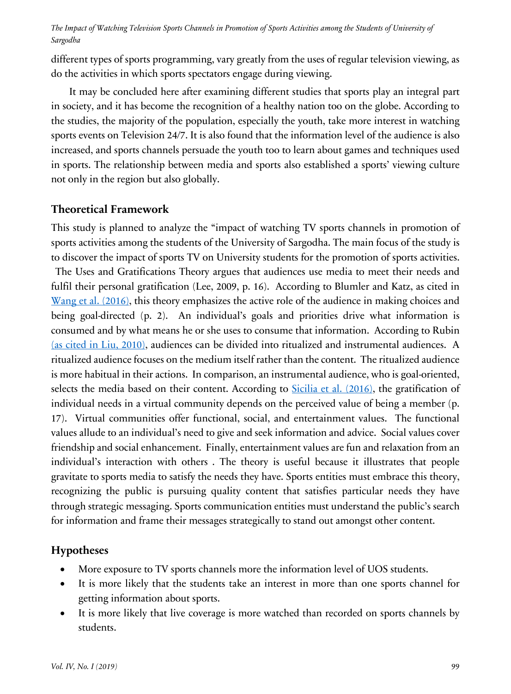different types of sports programming, vary greatly from the uses of regular television viewing, as do the activities in which sports spectators engage during viewing.

It may be concluded here after examining different studies that sports play an integral part in society, and it has become the recognition of a healthy nation too on the globe. According to the studies, the majority of the population, especially the youth, take more interest in watching sports events on Television 24/7. It is also found that the information level of the audience is also increased, and sports channels persuade the youth too to learn about games and techniques used in sports. The relationship between media and sports also established a sports' viewing culture not only in the region but also globally.

## **Theoretical Framework**

This study is planned to analyze the "impact of watching TV sports channels in promotion of sports activities among the students of the University of Sargodha. The main focus of the study is to discover the impact of sports TV on University students for the promotion of sports activities. The Uses and Gratifications Theory argues that audiences use media to meet their needs and fulfil their personal gratification (Lee, 2009, p. 16). According to Blumler and Katz, as cited in Wang et al. (2016), this theory emphasizes the active role of the audience in making choices and being goal-directed (p. 2). An individual's goals and priorities drive what information is consumed and by what means he or she uses to consume that information. According to Rubin (as cited in Liu, 2010), audiences can be divided into ritualized and instrumental audiences. A ritualized audience focuses on the medium itself rather than the content. The ritualized audience is more habitual in their actions. In comparison, an instrumental audience, who is goal-oriented, selects the media based on their content. According to Sicilia et al. (2016), the gratification of individual needs in a virtual community depends on the perceived value of being a member (p. 17). Virtual communities offer functional, social, and entertainment values. The functional values allude to an individual's need to give and seek information and advice. Social values cover friendship and social enhancement. Finally, entertainment values are fun and relaxation from an individual's interaction with others. The theory is useful because it illustrates that people gravitate to sports media to satisfy the needs they have. Sports entities must embrace this theory, recognizing the public is pursuing quality content that satisfies particular needs they have through strategic messaging. Sports communication entities must understand the public's search for information and frame their messages strategically to stand out amongst other content.

## **Hypotheses**

- More exposure to TV sports channels more the information level of UOS students.
- It is more likely that the students take an interest in more than one sports channel for getting information about sports.
- It is more likely that live coverage is more watched than recorded on sports channels by students.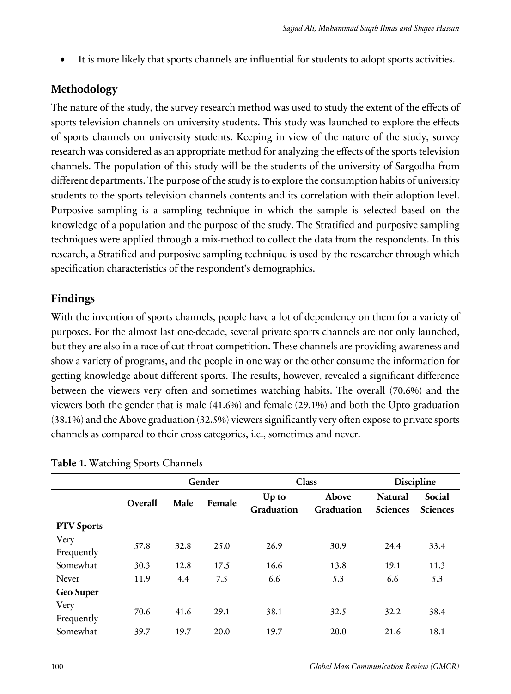It is more likely that sports channels are influential for students to adopt sports activities.

# **Methodology**

The nature of the study, the survey research method was used to study the extent of the effects of sports television channels on university students. This study was launched to explore the effects of sports channels on university students. Keeping in view of the nature of the study, survey research was considered as an appropriate method for analyzing the effects of the sports television channels. The population of this study will be the students of the university of Sargodha from different departments. The purpose of the study is to explore the consumption habits of university students to the sports television channels contents and its correlation with their adoption level. Purposive sampling is a sampling technique in which the sample is selected based on the knowledge of a population and the purpose of the study. The Stratified and purposive sampling techniques were applied through a mix-method to collect the data from the respondents. In this research, a Stratified and purposive sampling technique is used by the researcher through which specification characteristics of the respondent's demographics.

# **Findings**

With the invention of sports channels, people have a lot of dependency on them for a variety of purposes. For the almost last one-decade, several private sports channels are not only launched, but they are also in a race of cut-throat-competition. These channels are providing awareness and show a variety of programs, and the people in one way or the other consume the information for getting knowledge about different sports. The results, however, revealed a significant difference between the viewers very often and sometimes watching habits. The overall (70.6%) and the viewers both the gender that is male (41.6%) and female (29.1%) and both the Upto graduation (38.1%) and the Above graduation (32.5%) viewers significantly very often expose to private sports channels as compared to their cross categories, i.e., sometimes and never.

|                   |         |      | Gender |            | <b>Class</b> |                 | <b>Discipline</b> |  |
|-------------------|---------|------|--------|------------|--------------|-----------------|-------------------|--|
|                   | Overall | Male | Female | Up to      | Above        | <b>Natural</b>  | Social            |  |
|                   |         |      |        | Graduation | Graduation   | <b>Sciences</b> | <b>Sciences</b>   |  |
| <b>PTV Sports</b> |         |      |        |            |              |                 |                   |  |
| Very              |         |      |        |            |              |                 |                   |  |
| Frequently        | 57.8    | 32.8 | 25.0   | 26.9       | 30.9         | 24.4            | 33.4              |  |
| Somewhat          | 30.3    | 12.8 | 17.5   | 16.6       | 13.8         | 19.1            | 11.3              |  |
| <b>Never</b>      | 11.9    | 4.4  | 7.5    | 6.6        | 5.3          | 6.6             | 5.3               |  |
| Geo Super         |         |      |        |            |              |                 |                   |  |
| Very              | 70.6    | 41.6 | 29.1   | 38.1       | 32.5         | 32.2            | 38.4              |  |
| Frequently        |         |      |        |            |              |                 |                   |  |
| Somewhat          | 39.7    | 19.7 | 20.0   | 19.7       | 20.0         | 21.6            | 18.1              |  |

| Table 1. Watching Sports Channels |  |  |
|-----------------------------------|--|--|
|                                   |  |  |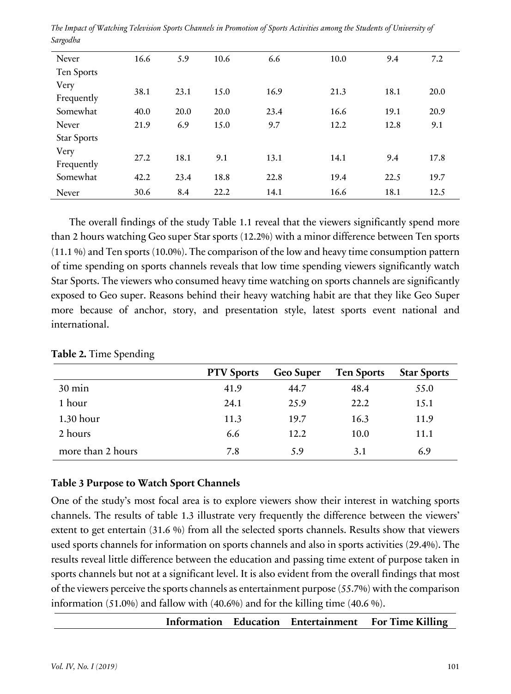| Never              | 16.6 | 5.9  | 10.6 | 6.6  | 10.0 | 9.4  | 7.2  |
|--------------------|------|------|------|------|------|------|------|
| Ten Sports         |      |      |      |      |      |      |      |
| Very<br>Frequently | 38.1 | 23.1 | 15.0 | 16.9 | 21.3 | 18.1 | 20.0 |
| Somewhat           | 40.0 | 20.0 | 20.0 | 23.4 | 16.6 | 19.1 | 20.9 |
| Never              | 21.9 | 6.9  | 15.0 | 9.7  | 12.2 | 12.8 | 9.1  |
| <b>Star Sports</b> |      |      |      |      |      |      |      |
| Very<br>Frequently | 27.2 | 18.1 | 9.1  | 13.1 | 14.1 | 9.4  | 17.8 |
| Somewhat           | 42.2 | 23.4 | 18.8 | 22.8 | 19.4 | 22.5 | 19.7 |
| Never              | 30.6 | 8.4  | 22.2 | 14.1 | 16.6 | 18.1 | 12.5 |

*The Impact of Watching Television Sports Channels in Promotion of Sports Activities among the Students of University of Sargodha*

The overall findings of the study Table 1.1 reveal that the viewers significantly spend more than 2 hours watching Geo super Star sports (12.2%) with a minor difference between Ten sports (11.1 %) and Ten sports (10.0%). The comparison of the low and heavy time consumption pattern of time spending on sports channels reveals that low time spending viewers significantly watch Star Sports. The viewers who consumed heavy time watching on sports channels are significantly exposed to Geo super. Reasons behind their heavy watching habit are that they like Geo Super more because of anchor, story, and presentation style, latest sports event national and international.

|                   | <b>PTV</b> Sports | Geo Super | <b>Ten Sports</b> | <b>Star Sports</b> |
|-------------------|-------------------|-----------|-------------------|--------------------|
| $30 \text{ min}$  | 41.9              | 44.7      | 48.4              | 55.0               |
| 1 hour            | 24.1              | 25.9      | 22.2              | 15.1               |
| $1.30$ hour       | 11.3              | 19.7      | 16.3              | 11.9               |
| 2 hours           | 6.6               | 12.2      | 10.0              | 11.1               |
| more than 2 hours | 7.8               | 5.9       | 3.1               | 6.9                |

**Table 2.** Time Spending

#### **Table 3 Purpose to Watch Sport Channels**

One of the study's most focal area is to explore viewers show their interest in watching sports channels. The results of table 1.3 illustrate very frequently the difference between the viewers' extent to get entertain (31.6 %) from all the selected sports channels. Results show that viewers used sports channels for information on sports channels and also in sports activities (29.4%). The results reveal little difference between the education and passing time extent of purpose taken in sports channels but not at a significant level. It is also evident from the overall findings that most of the viewers perceive the sports channels as entertainment purpose (55.7%) with the comparison information (51.0%) and fallow with (40.6%) and for the killing time (40.6 %).

**Information Education Entertainment For Time Killing**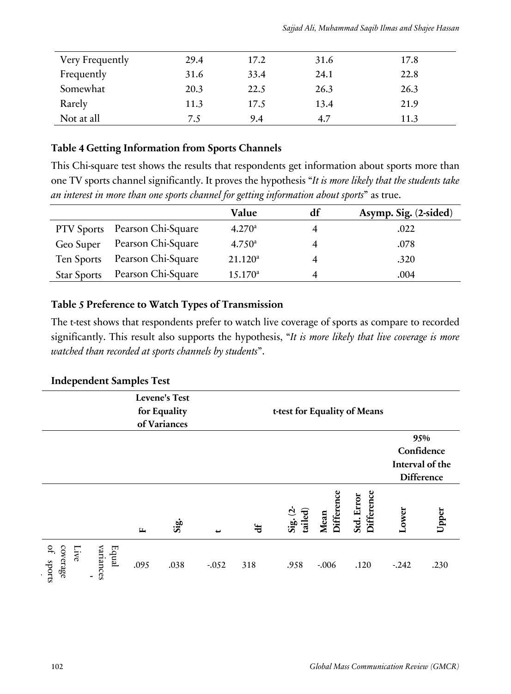| Sajjad Ali, Muhammad Saqib Ilmas and Shajee Hassan |  |  |  |  |
|----------------------------------------------------|--|--|--|--|
|----------------------------------------------------|--|--|--|--|

| Very Frequently | 29.4 | 17.2 | 31.6 | 17.8 |
|-----------------|------|------|------|------|
| Frequently      | 31.6 | 33.4 | 24.1 | 22.8 |
| Somewhat        | 20.3 | 22.5 | 26.3 | 26.3 |
| Rarely          | 11.3 | 17.5 | 13.4 | 21.9 |
| Not at all      | 7.5  | 9.4  | 4.7  | 11.3 |

#### **Table 4 Getting Information from Sports Channels**

This Chi-square test shows the results that respondents get information about sports more than one TV sports channel significantly. It proves the hypothesis "*It is more likely that the students take an interest in more than one sports channel for getting information about sports*" as true.

|                    |                               | Value               | df | Asymp. Sig. (2-sided) |
|--------------------|-------------------------------|---------------------|----|-----------------------|
|                    | PTV Sports Pearson Chi-Square | 4.270 <sup>a</sup>  |    | .022                  |
| Geo Super          | Pearson Chi-Square            | $4.750^{\circ}$     |    | .078                  |
| Ten Sports         | Pearson Chi-Square            | $21.120^a$          |    | .320                  |
| <b>Star Sports</b> | Pearson Chi-Square            | 15.170 <sup>a</sup> |    | .004                  |

### **Table 5 Preference to Watch Types of Transmission**

The t-test shows that respondents prefer to watch live coverage of sports as compare to recorded significantly. This result also supports the hypothesis, "*It is more likely that live coverage is more watched than recorded at sports channels by students*".

### **Independent Samples Test**

|                               |                    |              | <b>Levene's Test</b><br>for Equality | t-test for Equality of Means |            |                        |                    |                          |         |                   |
|-------------------------------|--------------------|--------------|--------------------------------------|------------------------------|------------|------------------------|--------------------|--------------------------|---------|-------------------|
|                               |                    |              | of Variances                         |                              |            |                        |                    |                          |         |                   |
|                               |                    |              |                                      |                              |            |                        |                    |                          |         | 95%               |
|                               |                    |              |                                      |                              |            |                        |                    |                          |         | Confidence        |
|                               |                    |              |                                      |                              |            |                        |                    |                          |         | Interval of the   |
|                               |                    |              |                                      |                              |            |                        |                    |                          |         | <b>Difference</b> |
|                               |                    | $\mathbf{r}$ | $\ddot{\mathbf{s}}$                  |                              | $\ddot{ }$ | $Sig. (2 -$<br>tailed) | Mean<br>Difference | Difference<br>Std. Error | Lower   | Upper             |
| of sports<br>coverage<br>Live | variances<br>Equal | .095         | .038                                 | $-0.052$                     | 318        | .958                   | $-.006$            | .120                     | $-.242$ | .230              |

events by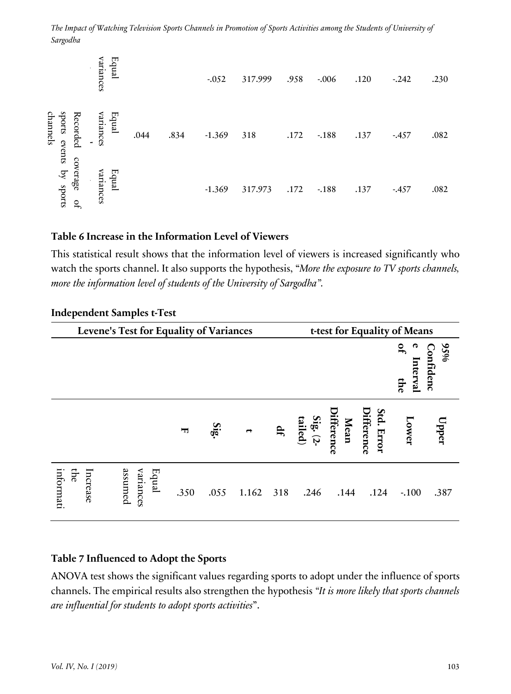| Equal<br>variances<br>$\blacksquare$                           |      |      | $-.052$  | 317.999 | .958 | $-.006$ | .120 | $-.242$ | .230 |
|----------------------------------------------------------------|------|------|----------|---------|------|---------|------|---------|------|
| Equal<br>shorts<br>variances<br>Recorded<br>channels<br>events | .044 | .834 | $-1.369$ | 318     | .172 | $-188$  | .137 | $-457$  | .082 |
| coverage<br>by sports<br>Equal<br>variances<br>$\mathbf{r}$    |      |      | $-1.369$ | 317.973 | .172 | $-.188$ | .137 | $-457$  | .082 |

#### **Table 6 Increase in the Information Level of Viewers**

|                                          | variances                         | Equal   |                    |                                                                                                                                                                                                                                                                                                                                              | $-0.052$ | 317.999 |     | .958                                | $-0.06$                   | .120                           | $-.242$                      | .230                |
|------------------------------------------|-----------------------------------|---------|--------------------|----------------------------------------------------------------------------------------------------------------------------------------------------------------------------------------------------------------------------------------------------------------------------------------------------------------------------------------------|----------|---------|-----|-------------------------------------|---------------------------|--------------------------------|------------------------------|---------------------|
| Recorded<br>hannel.                      | variances                         | Equal   | .044               | .834                                                                                                                                                                                                                                                                                                                                         | $-1.369$ | 318     |     | .172                                | $-188$                    | .137                           | $-457$                       | .082                |
| shorts events by sports<br>coverage<br>q | Equal<br>variances                |         |                    |                                                                                                                                                                                                                                                                                                                                              | $-1.369$ | 317.973 |     | .172                                | $-188$                    | .137                           | $-457$                       | .082                |
|                                          | <b>Independent Samples t-Test</b> |         |                    | Table 6 Increase in the Information Level of Viewers<br>This statistical result shows that the information level of viewers is increased significantly who<br>watch the sports channel. It also supports the hypothesis, "More the exposure to TV sports channels,<br>more the information level of students of the University of Sargodha". |          |         |     |                                     |                           |                                |                              |                     |
|                                          |                                   |         |                    | Levene's Test for Equality of Variances                                                                                                                                                                                                                                                                                                      |          |         |     |                                     |                           |                                | t-test for Equality of Means |                     |
|                                          |                                   |         |                    |                                                                                                                                                                                                                                                                                                                                              |          |         |     |                                     |                           |                                | ೩                            | $95\%$<br>Confidenc |
|                                          |                                   |         |                    |                                                                                                                                                                                                                                                                                                                                              |          |         |     |                                     |                           |                                | Interval<br>the              |                     |
|                                          |                                   |         |                    | 豆                                                                                                                                                                                                                                                                                                                                            |          |         | Ŧ   | $\frac{\text{Sig.}}{\text{tailed}}$ | <b>Difference</b><br>Mean | <b>Differenc</b><br>Std. Error | Lower                        | Upper               |
| Ę<br>nformati                            | ncrease                           | assumed | Equal<br>variances | .350                                                                                                                                                                                                                                                                                                                                         | .055     | 1.162   | 318 | .246                                | .144                      | .124                           | $-.100$                      | .387                |
|                                          |                                   |         |                    | Table 7 Influenced to Adopt the Sports<br>ANOVA test shows the significant values regarding sports to adopt under the influence of sports<br>channels. The empirical results also strengthen the hypothesis "It is more likely that sports channels<br>are influential for students to adopt sports activities".                             |          |         |     |                                     |                           |                                |                              |                     |

#### **Independent Samples t-Test**

## **Table 7 Influenced to Adopt the Sports**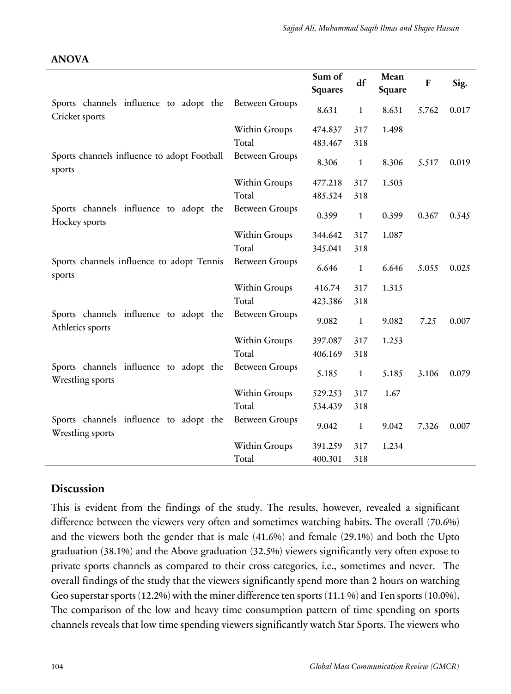|                                                            |                       | Sum of<br><b>Squares</b> | df           | Mean<br>Square | F     | Sig.  |
|------------------------------------------------------------|-----------------------|--------------------------|--------------|----------------|-------|-------|
| Sports channels influence to adopt the<br>Cricket sports   | <b>Between Groups</b> | 8.631                    | $\mathbf{1}$ | 8.631          | 5.762 | 0.017 |
|                                                            | Within Groups         | 474.837                  | 317          | 1.498          |       |       |
|                                                            | Total                 | 483.467                  | 318          |                |       |       |
| Sports channels influence to adopt Football<br>sports      | <b>Between Groups</b> | 8.306                    | $\mathbf{1}$ | 8.306          | 5.517 | 0.019 |
|                                                            | Within Groups         | 477.218                  | 317          | 1.505          |       |       |
|                                                            | Total                 | 485.524                  | 318          |                |       |       |
| Sports channels influence to adopt the<br>Hockey sports    | <b>Between Groups</b> | 0.399                    | $\mathbf{1}$ | 0.399          | 0.367 | 0.545 |
|                                                            | Within Groups         | 344.642                  | 317          | 1.087          |       |       |
|                                                            | Total                 | 345.041                  | 318          |                |       |       |
| Sports channels influence to adopt Tennis<br>sports        | <b>Between Groups</b> | 6.646                    | $\mathbf{1}$ | 6.646          | 5.055 | 0.025 |
|                                                            | Within Groups         | 416.74                   | 317          | 1.315          |       |       |
|                                                            | Total                 | 423.386                  | 318          |                |       |       |
| Sports channels influence to adopt the<br>Athletics sports | <b>Between Groups</b> | 9.082                    | $\mathbf{1}$ | 9.082          | 7.25  | 0.007 |
|                                                            | Within Groups         | 397.087                  | 317          | 1.253          |       |       |
|                                                            | Total                 | 406.169                  | 318          |                |       |       |
| Sports channels influence to adopt the<br>Wrestling sports | <b>Between Groups</b> | 5.185                    | $\mathbf{1}$ | 5.185          | 3.106 | 0.079 |
|                                                            | Within Groups         | 529.253                  | 317          | 1.67           |       |       |
|                                                            | Total                 | 534.439                  | 318          |                |       |       |
| Sports channels influence to adopt the<br>Wrestling sports | <b>Between Groups</b> | 9.042                    | $\mathbf{1}$ | 9.042          | 7.326 | 0.007 |
|                                                            | Within Groups         | 391.259                  | 317          | 1.234          |       |       |
|                                                            | Total                 | 400.301                  | 318          |                |       |       |

#### **ANOVA**

## **Discussion**

This is evident from the findings of the study. The results, however, revealed a significant difference between the viewers very often and sometimes watching habits. The overall (70.6%) and the viewers both the gender that is male (41.6%) and female (29.1%) and both the Upto graduation (38.1%) and the Above graduation (32.5%) viewers significantly very often expose to private sports channels as compared to their cross categories, i.e., sometimes and never. "The overall findings of the study that the viewers significantly spend more than 2 hours on watching Geo superstar sports (12.2%) with the miner difference ten sports (11.1 %) and Ten sports (10.0%). The comparison of the low and heavy time consumption pattern of time spending on sports channels reveals that low time spending viewers significantly watch Star Sports. The viewers who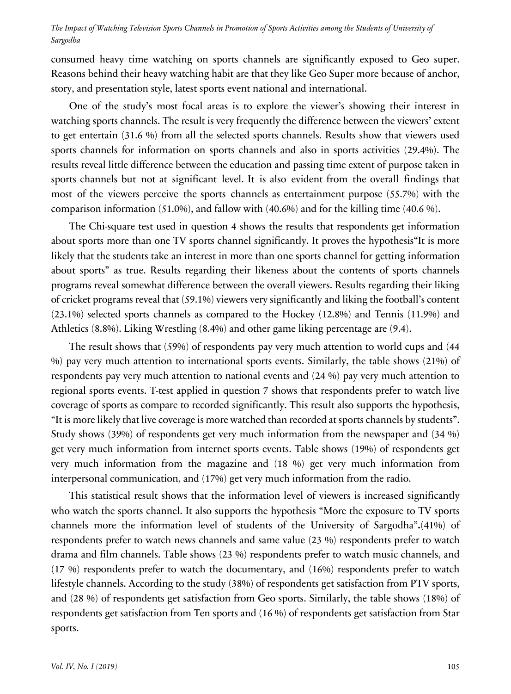consumed heavy time watching on sports channels are significantly exposed to Geo super. Reasons behind their heavy watching habit are that they like Geo Super more because of anchor, story, and presentation style, latest sports event national and international."

One of the study's most focal areas is to explore the viewer's showing their interest in watching sports channels. The result is very frequently the difference between the viewers' extent to get entertain (31.6 %) from all the selected sports channels. Results show that viewers used sports channels for information on sports channels and also in sports activities (29.4%). The results reveal little difference between the education and passing time extent of purpose taken in sports channels but not at significant level. It is also evident from the overall findings that most of the viewers perceive the sports channels as entertainment purpose  $(55.7\%)$  with the comparison information (51.0%), and fallow with (40.6%) and for the killing time (40.6 %).

The Chi-square test used in question 4 shows the results that respondents get information about sports more than one TV sports channel significantly. It proves the hypothesis"It is more likely that the students take an interest in more than one sports channel for getting information about sports" as true. Results regarding their likeness about the contents of sports channels programs reveal somewhat difference between the overall viewers. Results regarding their liking of cricket programs reveal that (59.1%) viewers very significantly and liking the football's content (23.1%) selected sports channels as compared to the Hockey (12.8%) and Tennis (11.9%) and Athletics (8.8%). Liking Wrestling (8.4%) and other game liking percentage are (9.4).

The result shows that (59%) of respondents pay very much attention to world cups and (44 %) pay very much attention to international sports events. Similarly, the table shows (21%) of respondents pay very much attention to national events and (24 %) pay very much attention to regional sports events. T-test applied in question 7 shows that respondents prefer to watch live coverage of sports as compare to recorded significantly. This result also supports the hypothesis, "It is more likely that live coverage is more watched than recorded at sports channels by students". Study shows (39%) of respondents get very much information from the newspaper and (34 %) get very much information from internet sports events. Table shows (19%) of respondents get very much information from the magazine and (18 %) get very much information from interpersonal communication, and (17%) get very much information from the radio.

This statistical result shows that the information level of viewers is increased significantly who watch the sports channel. It also supports the hypothesis "More the exposure to TV sports channels more the information level of students of the University of Sargodha"**.**(41%) of respondents prefer to watch news channels and same value (23 %) respondents prefer to watch drama and film channels. Table shows (23 %) respondents prefer to watch music channels, and (17 %) respondents prefer to watch the documentary, and (16%) respondents prefer to watch lifestyle channels. According to the study (38%) of respondents get satisfaction from PTV sports, and (28 %) of respondents get satisfaction from Geo sports. Similarly, the table shows (18%) of respondents get satisfaction from Ten sports and (16 %) of respondents get satisfaction from Star sports.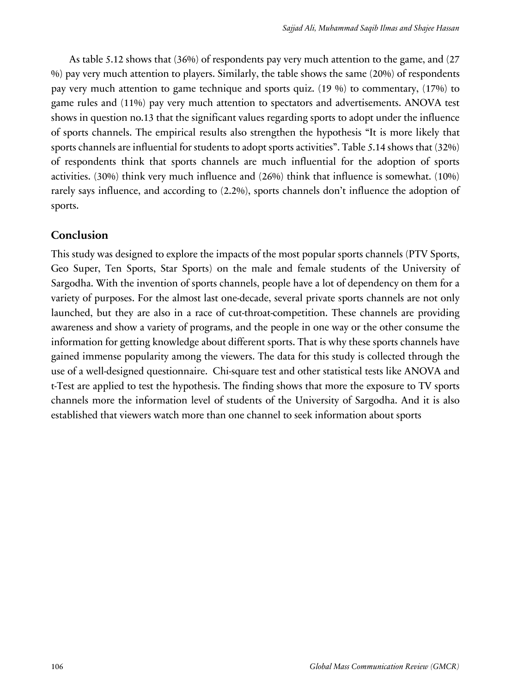As table 5.12 shows that (36%) of respondents pay very much attention to the game, and (27 %) pay very much attention to players. Similarly, the table shows the same (20%) of respondents pay very much attention to game technique and sports quiz. (19 %) to commentary, (17%) to game rules and (11%) pay very much attention to spectators and advertisements. ANOVA test shows in question no.13 that the significant values regarding sports to adopt under the influence of sports channels. The empirical results also strengthen the hypothesis "It is more likely that sports channels are influential for students to adopt sports activities". Table 5.14 shows that (32%) of respondents think that sports channels are much influential for the adoption of sports activities. (30%) think very much influence and (26%) think that influence is somewhat. (10%) rarely says influence, and according to (2.2%), sports channels don't influence the adoption of sports.

### **Conclusion**

This study was designed to explore the impacts of the most popular sports channels (PTV Sports, Geo Super, Ten Sports, Star Sports) on the male and female students of the University of Sargodha. With the invention of sports channels, people have a lot of dependency on them for a variety of purposes. For the almost last one-decade, several private sports channels are not only launched, but they are also in a race of cut-throat-competition. These channels are providing awareness and show a variety of programs, and the people in one way or the other consume the information for getting knowledge about different sports. That is why these sports channels have gained immense popularity among the viewers. The data for this study is collected through the use of a well-designed questionnaire. Chi-square test and other statistical tests like ANOVA and t-Test are applied to test the hypothesis. The finding shows that more the exposure to TV sports channels more the information level of students of the University of Sargodha. And it is also established that viewers watch more than one channel to seek information about sports